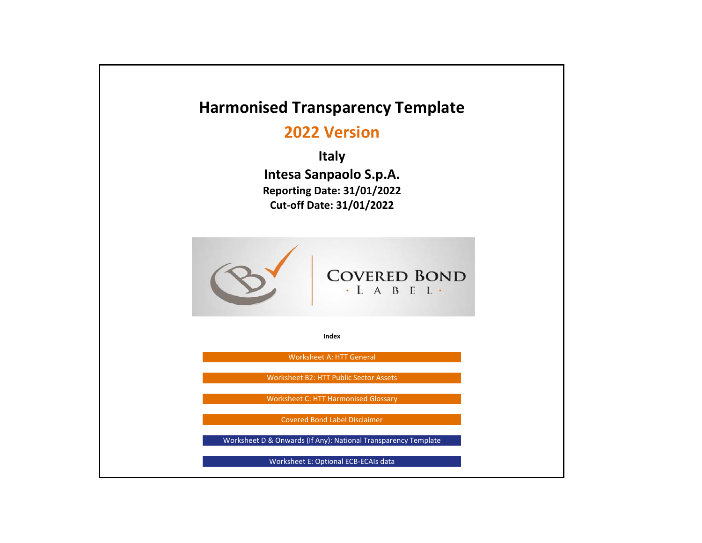# **Harmonised Transparency Template 2022 VersionItaly Intesa Sanpaolo S.p.A. Reporting Date: 31/01/2022 Cut‐off Date: 31/01/2022 COVERED BOND**  $\cdot$  L A B E L  $\cdot$ **Index**Worksheet A: HTT General Worksheet B2: HTT Public Sector Assets Worksheet C: HTT Harmonised Glossary Covered Bond Label DisclaimerWorksheet D & Onwards (If Any): National Transparency Template Worksheet E: Optional ECB‐ECAIs data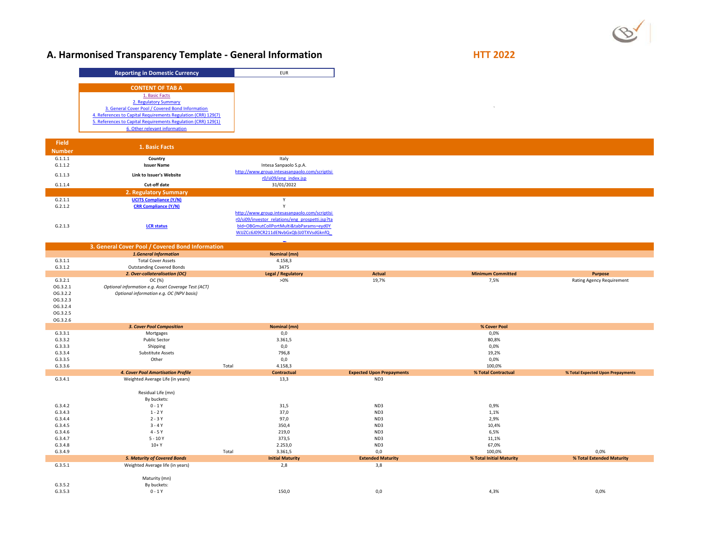# **A. Harmonised Transparency Template - General Information** *MACON* **<b>HTT 2022**

| <b>Reporting in Domestic Currency</b>                         |
|---------------------------------------------------------------|
| <b>CONTENT OF TAB A</b>                                       |
| 1. Basic Facts                                                |
| 2. Regulatory Summary                                         |
| 3. General Cover Pool / Covered Bond Information              |
| 4. References to Capital Requirements Regulation (CRR) 129(7) |
| 5. References to Capital Requirements Regulation (CRR) 129(1) |
| 6. Other relevant information                                 |

| <b>Field</b>  |                               |                                                 |
|---------------|-------------------------------|-------------------------------------------------|
| <b>Number</b> | 1. Basic Facts                |                                                 |
| G.1.1.1       | Country                       | Italy                                           |
| G.1.1.2       | <b>Issuer Name</b>            | Intesa Sanpaolo S.p.A.                          |
| G.1.1.3       | Link to Issuer's Website      | http://www.group.intesasanpaolo.com/scriptIsi   |
|               |                               | r0/si09/eng_index.jsp                           |
| G.1.1.4       | Cut-off date                  | 31/01/2022                                      |
|               | 2. Regulatory Summary         |                                                 |
| G.2.1.1       | <b>UCITS Compliance (Y/N)</b> |                                                 |
| G.2.1.2       | <b>CRR Compliance (Y/N)</b>   |                                                 |
|               |                               | http://www.group.intesasanpaolo.com/scriptIsi   |
|               |                               | r0/si09/investor_relations/eng_prospetti.jsp?ta |
| G.2.1.3       | <b>LCR</b> status             | bld=OBGmutCollPortMulti&tabParams=eyd0Y         |
|               |                               | WJJZCc6J09CR211dENvbGxQb3J0TXVsdGknfQ           |

|                    | 3. General Cover Pool / Covered Bond Information    |       |                           |                                  |                          |                                   |
|--------------------|-----------------------------------------------------|-------|---------------------------|----------------------------------|--------------------------|-----------------------------------|
|                    | <b>1.General Information</b>                        |       | Nominal (mn)              |                                  |                          |                                   |
| G.3.1.1            | <b>Total Cover Assets</b>                           |       | 4.158,3                   |                                  |                          |                                   |
| G.3.1.2            | <b>Outstanding Covered Bonds</b>                    |       | 3475                      |                                  |                          |                                   |
|                    | 2. Over-collateralisation (OC)                      |       | <b>Legal / Regulatory</b> | <b>Actual</b>                    | <b>Minimum Committed</b> | Purpose                           |
| G.3.2.1            | OC (%)                                              |       | $>0\%$                    | 19,7%                            | 7,5%                     | <b>Rating Agency Requirement</b>  |
| OG.3.2.1           | Optional information e.g. Asset Coverage Test (ACT) |       |                           |                                  |                          |                                   |
| OG.3.2.2           | Optional information e.g. OC (NPV basis)            |       |                           |                                  |                          |                                   |
| OG.3.2.3           |                                                     |       |                           |                                  |                          |                                   |
| OG.3.2.4           |                                                     |       |                           |                                  |                          |                                   |
| OG.3.2.5           |                                                     |       |                           |                                  |                          |                                   |
| OG.3.2.6           |                                                     |       |                           |                                  |                          |                                   |
|                    | 3. Cover Pool Composition                           |       | Nominal (mn)              |                                  | % Cover Pool             |                                   |
| G.3.3.1            | Mortgages                                           |       | 0,0                       |                                  | 0,0%                     |                                   |
| G.3.3.2            | <b>Public Sector</b>                                |       | 3.361,5                   |                                  | 80,8%                    |                                   |
| G.3.3.3            | Shipping                                            |       | 0,0                       |                                  | 0,0%                     |                                   |
| G.3.3.4            | Substitute Assets                                   |       | 796,8                     |                                  | 19,2%                    |                                   |
| G.3.3.5            | Other                                               |       | 0,0                       |                                  | 0,0%                     |                                   |
| G.3.3.6            |                                                     | Total | 4.158,3                   |                                  | 100,0%                   |                                   |
|                    | 4. Cover Pool Amortisation Profile                  |       | <b>Contractual</b>        | <b>Expected Upon Prepayments</b> | % Total Contractual      | % Total Expected Upon Prepayments |
|                    |                                                     |       |                           |                                  |                          |                                   |
| G.3.4.1            | Weighted Average Life (in years)                    |       | 13,3                      | ND3                              |                          |                                   |
|                    |                                                     |       |                           |                                  |                          |                                   |
|                    | Residual Life (mn)                                  |       |                           |                                  |                          |                                   |
|                    | By buckets:                                         |       |                           |                                  |                          |                                   |
| G.3.4.2            | $0 - 1Y$                                            |       | 31,5                      | ND3                              | 0,9%                     |                                   |
| G.3.4.3            | $1 - 2Y$                                            |       | 37,0                      | ND3                              | 1,1%                     |                                   |
| G.3.4.4            | $2 - 3Y$                                            |       | 97,0                      | ND3                              | 2,9%                     |                                   |
| G.3.4.5            | $3 - 4Y$                                            |       | 350,4                     | ND3                              | 10,4%                    |                                   |
| G.3.4.6            | $4 - 5Y$                                            |       | 219,0                     | ND3                              | 6,5%                     |                                   |
| G.3.4.7            | $5 - 10Y$                                           |       | 373,5                     | ND3                              | 11,1%                    |                                   |
| G.3.4.8            | $10+Y$                                              |       | 2.253,0                   | ND3                              | 67,0%                    |                                   |
| G.3.4.9            |                                                     | Total | 3.361,5                   | 0,0                              | 100,0%                   | 0,0%                              |
|                    | <b>5. Maturity of Covered Bonds</b>                 |       | <b>Initial Maturity</b>   | <b>Extended Maturity</b>         | % Total Initial Maturity | % Total Extended Maturity         |
| G.3.5.1            | Weighted Average life (in years)                    |       | 2,8                       | 3,8                              |                          |                                   |
|                    |                                                     |       |                           |                                  |                          |                                   |
|                    | Maturity (mn)                                       |       |                           |                                  |                          |                                   |
| G.3.5.2<br>G.3.5.3 | By buckets:<br>$0 - 1Y$                             |       | 150,0                     | 0,0                              | 4,3%                     | 0,0%                              |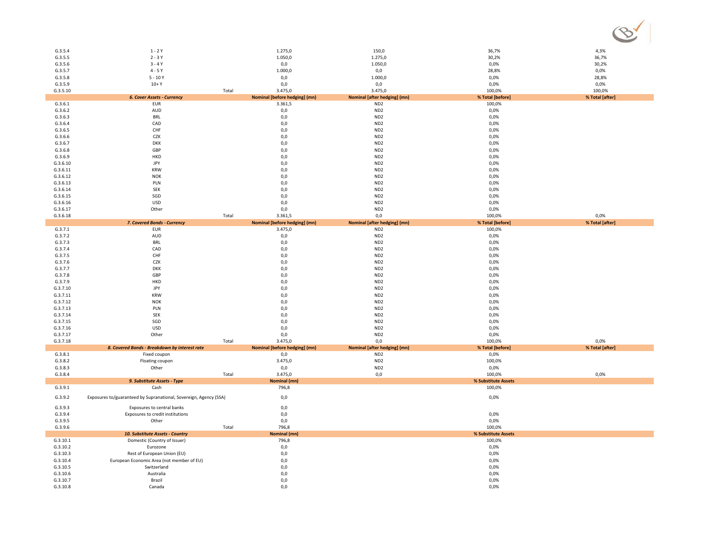| G.3.5.4              | 1 - 2 Y                                                           |       | 1.275,0                       | 150,0                        | 36,7%               | 4,3%            |
|----------------------|-------------------------------------------------------------------|-------|-------------------------------|------------------------------|---------------------|-----------------|
| G.3.5.5              | $2 - 3Y$                                                          |       | 1.050,0                       | 1.275,0                      | 30,2%               | 36,7%           |
| G.3.5.6              | $3 - 4Y$                                                          |       | 0,0                           | 1.050,0                      | 0,0%                | 30,2%           |
|                      | $4 - 5Y$                                                          |       | 1.000,0                       |                              | 28,8%               | 0,0%            |
| G.3.5.7              |                                                                   |       |                               | 0,0                          |                     |                 |
| G.3.5.8              | $5 - 10Y$                                                         |       | 0,0                           | 1.000,0                      | 0,0%                | 28,8%           |
| G.3.5.9              | $10+Y$                                                            |       | 0,0                           | 0,0                          | 0,0%                | 0,0%            |
| G.3.5.10             |                                                                   | Total | 3.475,0                       | 3.475,0                      | 100,0%              | 100,0%          |
|                      | 6. Cover Assets - Currency                                        |       | Nominal [before hedging] (mn) | Nominal [after hedging] (mn) | % Total [before]    | % Total [after] |
|                      |                                                                   |       |                               |                              |                     |                 |
| G.3.6.1              | EUR                                                               |       | 3.361,5                       | ND <sub>2</sub>              | 100,0%              |                 |
| G.3.6.2              | AUD                                                               |       | 0,0                           | ND <sub>2</sub>              | 0,0%                |                 |
| G.3.6.3              | <b>BRL</b>                                                        |       | 0,0                           | ND <sub>2</sub>              | 0,0%                |                 |
| G.3.6.4              | CAD                                                               |       | 0,0                           | ND <sub>2</sub>              | 0,0%                |                 |
| G.3.6.5              | CHF                                                               |       | 0,0                           | ND <sub>2</sub>              | 0,0%                |                 |
|                      |                                                                   |       |                               |                              |                     |                 |
| G.3.6.6              | CZK                                                               |       | 0,0                           | ND <sub>2</sub>              | 0,0%                |                 |
| G.3.6.7              | <b>DKK</b>                                                        |       | 0,0                           | ND <sub>2</sub>              | 0,0%                |                 |
| G.3.6.8              | GBP                                                               |       | 0,0                           | ND <sub>2</sub>              | 0,0%                |                 |
| G.3.6.9              | HKD                                                               |       | 0,0                           | ND <sub>2</sub>              | 0,0%                |                 |
|                      |                                                                   |       |                               |                              |                     |                 |
| G.3.6.10             | JPY                                                               |       | 0,0                           | ND <sub>2</sub>              | 0,0%                |                 |
| G.3.6.11             | <b>KRW</b>                                                        |       | 0,0                           | ND <sub>2</sub>              | 0,0%                |                 |
| G.3.6.12             | <b>NOK</b>                                                        |       | 0,0                           | ND <sub>2</sub>              | 0,0%                |                 |
| G.3.6.13             | PLN                                                               |       | 0,0                           | ND <sub>2</sub>              | 0,0%                |                 |
| G.3.6.14             | <b>SEK</b>                                                        |       | 0,0                           | ND <sub>2</sub>              | 0,0%                |                 |
|                      |                                                                   |       |                               |                              |                     |                 |
| G.3.6.15             | SGD                                                               |       | 0,0                           | ND <sub>2</sub>              | 0,0%                |                 |
| G.3.6.16             | <b>USD</b>                                                        |       | 0,0                           | ND <sub>2</sub>              | 0,0%                |                 |
| G.3.6.17             | Other                                                             |       | 0,0                           | ND <sub>2</sub>              | 0,0%                |                 |
| G.3.6.18             |                                                                   | Total | 3.361,5                       | 0,0                          | 100,0%              | 0,0%            |
|                      | 7. Covered Bonds - Currency                                       |       | Nominal [before hedging] (mn) | Nominal [after hedging] (mn) | % Total [before]    | % Total [after] |
| G.3.7.1              | EUR                                                               |       | 3.475,0                       | ND <sub>2</sub>              |                     |                 |
|                      |                                                                   |       |                               |                              | 100,0%              |                 |
| G.3.7.2              | AUD                                                               |       | 0,0                           | ND <sub>2</sub>              | 0,0%                |                 |
| G.3.7.3              | <b>BRL</b>                                                        |       | 0,0                           | ND <sub>2</sub>              | 0,0%                |                 |
| G.3.7.4              | CAD                                                               |       | 0,0                           | ND <sub>2</sub>              | 0,0%                |                 |
| G.3.7.5              | CHF                                                               |       | 0,0                           | ND <sub>2</sub>              | 0,0%                |                 |
| G.3.7.6              | CZK                                                               |       | 0,0                           | ND <sub>2</sub>              | 0,0%                |                 |
|                      |                                                                   |       |                               |                              |                     |                 |
| G.3.7.7              | <b>DKK</b>                                                        |       | 0,0                           | ND <sub>2</sub>              | 0,0%                |                 |
| G.3.7.8              | GBP                                                               |       | 0,0                           | ND <sub>2</sub>              | 0,0%                |                 |
| G.3.7.9              | HKD                                                               |       | 0,0                           | ND <sub>2</sub>              | 0,0%                |                 |
| G.3.7.10             | JPY                                                               |       | 0,0                           | ND <sub>2</sub>              | 0,0%                |                 |
|                      |                                                                   |       |                               |                              |                     |                 |
| G.3.7.11             | KRW                                                               |       | 0,0                           | ND <sub>2</sub>              | 0,0%                |                 |
| G.3.7.12             | <b>NOK</b>                                                        |       | 0,0                           | ND <sub>2</sub>              | 0,0%                |                 |
| G.3.7.13             | PLN                                                               |       | $_{0,0}$                      | ND <sub>2</sub>              | 0,0%                |                 |
| G.3.7.14             | <b>SEK</b>                                                        |       | 0,0                           | ND <sub>2</sub>              | 0,0%                |                 |
| G.3.7.15             | SGD                                                               |       | 0,0                           | ND <sub>2</sub>              | 0,0%                |                 |
| G.3.7.16             | USD                                                               |       | 0,0                           | ND <sub>2</sub>              | 0,0%                |                 |
|                      |                                                                   |       |                               |                              |                     |                 |
| G.3.7.17             | Other                                                             |       | 0,0                           | ND <sub>2</sub>              | 0,0%                |                 |
| G.3.7.18             |                                                                   | Total | 3.475,0                       | 0,0                          | 100,0%              | 0,0%            |
|                      | 8. Covered Bonds - Breakdown by interest rate                     |       | Nominal [before hedging] (mn) | Nominal [after hedging] (mn) | % Total [before]    | % Total [after] |
| G.3.8.1              | Fixed coupon                                                      |       | 0,0                           | ND <sub>2</sub>              | 0,0%                |                 |
| G.3.8.2              | Floating coupon                                                   |       | 3.475,0                       | ND <sub>2</sub>              | 100,0%              |                 |
|                      |                                                                   |       |                               |                              |                     |                 |
| G.3.8.3              |                                                                   |       |                               |                              |                     |                 |
| G.3.8.4              | Other                                                             |       | 0,0                           | ND <sub>2</sub>              | 0,0%                |                 |
|                      |                                                                   | Total | 3.475,0                       | 0,0                          | 100,0%              | 0,0%            |
|                      | 9. Substitute Assets - Type                                       |       | Nominal (mn)                  |                              | % Substitute Assets |                 |
|                      |                                                                   |       |                               |                              |                     |                 |
| G.3.9.1              | Cash                                                              |       | 796,8                         |                              | 100,0%              |                 |
| G.3.9.2              |                                                                   |       | 0,0                           |                              | 0,0%                |                 |
|                      | Exposures to/guaranteed by Supranational, Sovereign, Agency (SSA) |       |                               |                              |                     |                 |
| G.3.9.3              | Exposures to central banks                                        |       | 0,0                           |                              |                     |                 |
| G.3.9.4              | Exposures to credit institutions                                  |       | 0,0                           |                              | 0,0%                |                 |
|                      |                                                                   |       |                               |                              |                     |                 |
| G.3.9.5              | Other                                                             |       | 0,0                           |                              | 0,0%                |                 |
| G.3.9.6              |                                                                   | Total | 796,8                         |                              | 100,0%              |                 |
|                      | 10. Substitute Assets - Country                                   |       | Nominal (mn)                  |                              | % Substitute Assets |                 |
| G.3.10.1             | Domestic (Country of Issuer)                                      |       | 796,8                         |                              | 100,0%              |                 |
| G.3.10.2             | Eurozone                                                          |       | 0,0                           |                              | 0,0%                |                 |
| G.3.10.3             | Rest of European Union (EU)                                       |       | 0,0                           |                              | 0,0%                |                 |
|                      |                                                                   |       |                               |                              |                     |                 |
| G.3.10.4             | European Economic Area (not member of EU)                         |       | 0,0                           |                              | 0,0%                |                 |
| G.3.10.5             | Switzerland                                                       |       | 0,0                           |                              | 0,0%                |                 |
| G.3.10.6             | Australia                                                         |       | 0,0                           |                              | 0,0%                |                 |
| G.3.10.7<br>G.3.10.8 | Brazil<br>Canada                                                  |       | 0,0<br>0.0                    |                              | 0,0%<br>0.0%        |                 |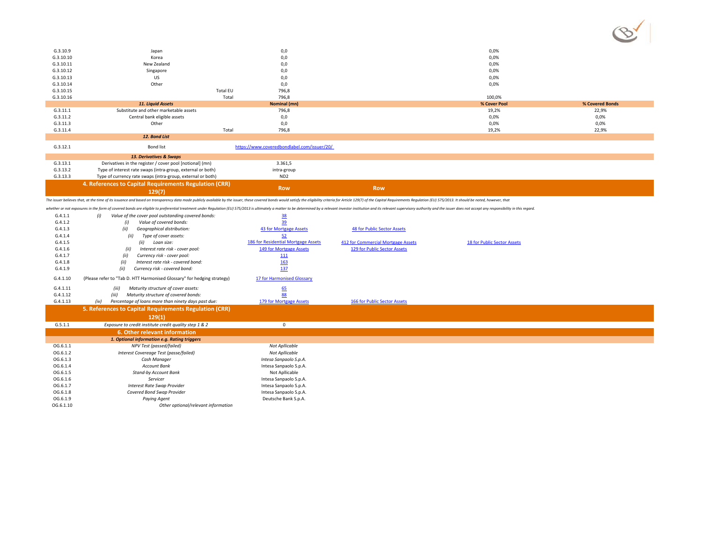|           |                                                                                                                                                                                                                                |                                             |                                    |                             | $\checkmark$    |
|-----------|--------------------------------------------------------------------------------------------------------------------------------------------------------------------------------------------------------------------------------|---------------------------------------------|------------------------------------|-----------------------------|-----------------|
|           |                                                                                                                                                                                                                                |                                             |                                    |                             |                 |
| G.3.10.9  | Japan                                                                                                                                                                                                                          | 0,0                                         |                                    | 0,0%                        |                 |
| G.3.10.10 | Korea                                                                                                                                                                                                                          | 0,0                                         |                                    | 0,0%                        |                 |
| G.3.10.11 | New Zealand                                                                                                                                                                                                                    | 0,0                                         |                                    | 0,0%                        |                 |
| G.3.10.12 | Singapore                                                                                                                                                                                                                      | 0,0                                         |                                    | 0,0%                        |                 |
| G.3.10.13 | US                                                                                                                                                                                                                             | 0,0                                         |                                    | 0,0%                        |                 |
| G.3.10.14 | Other                                                                                                                                                                                                                          | 0,0                                         |                                    | 0,0%                        |                 |
| G.3.10.15 |                                                                                                                                                                                                                                | <b>Total EU</b><br>796,8                    |                                    |                             |                 |
| G.3.10.16 |                                                                                                                                                                                                                                | 796,8<br>Total                              |                                    | 100.0%                      |                 |
|           | 11. Liquid Assets                                                                                                                                                                                                              | Nominal (mn)                                |                                    | % Cover Pool                | % Covered Bonds |
| G.3.11.1  | Substitute and other marketable assets                                                                                                                                                                                         | 796,8                                       |                                    | 19,2%                       | 22,9%           |
| G.3.11.2  | Central bank eligible assets                                                                                                                                                                                                   | 0,0                                         |                                    | 0,0%                        | 0,0%            |
| G.3.11.3  | Other                                                                                                                                                                                                                          | 0,0                                         |                                    | 0,0%                        | 0,0%            |
| G.3.11.4  |                                                                                                                                                                                                                                | Total<br>796,8                              |                                    | 19,2%                       | 22,9%           |
|           | 12. Bond List                                                                                                                                                                                                                  |                                             |                                    |                             |                 |
| G.3.12.1  | <b>Bond list</b>                                                                                                                                                                                                               | https://www.coveredbondlabel.com/issuer/20/ |                                    |                             |                 |
|           | 13. Derivatives & Swaps                                                                                                                                                                                                        |                                             |                                    |                             |                 |
| G.3.13.1  | Derivatives in the register / cover pool [notional] (mn)                                                                                                                                                                       | 3.361,5                                     |                                    |                             |                 |
| G.3.13.2  | Type of interest rate swaps (intra-group, external or both)                                                                                                                                                                    | intra-group                                 |                                    |                             |                 |
| G.3.13.3  | Type of currency rate swaps (intra-group, external or both)                                                                                                                                                                    | ND <sub>2</sub>                             |                                    |                             |                 |
|           | 4. References to Capital Requirements Regulation (CRR)                                                                                                                                                                         |                                             |                                    |                             |                 |
|           | 129(7)                                                                                                                                                                                                                         | <b>Row</b>                                  | <b>Row</b>                         |                             |                 |
|           | The issuer believes that, at the time of its issuance and based on transparency data made publicly available by the issuer, these covered bonds would satisfy the eligibility criteria for Article 129(7) of the Capital Requi |                                             |                                    |                             |                 |
|           | whether or not exposures in the form of covered bonds are eligible to preferential treatment under Regulation (EU) 575/2013 is ultimately a matter to be determined by a relevant investor institution and its relevant superv |                                             |                                    |                             |                 |
| G.4.1.1   | Value of the cover pool outstanding covered bonds:<br>(i)                                                                                                                                                                      | 38                                          |                                    |                             |                 |
| G.4.1.2   | Value of covered bonds:<br>(i)                                                                                                                                                                                                 | 39                                          |                                    |                             |                 |
| G.4.1.3   | (ii)<br>Geographical distribution:                                                                                                                                                                                             | 43 for Mortgage Assets                      | <b>48 for Public Sector Assets</b> |                             |                 |
| G.4.1.4   | (ii)<br>Type of cover assets:                                                                                                                                                                                                  | 52                                          |                                    |                             |                 |
| G.4.1.5   | (ii)<br>Loan size:                                                                                                                                                                                                             | 186 for Residential Mortgage Assets         | 412 for Commercial Mortgage Assets | 18 for Public Sector Assets |                 |
| G.4.1.6   | Interest rate risk - cover pool:<br>(ii)                                                                                                                                                                                       | 149 for Mortgage Assets                     | 129 for Public Sector Assets       |                             |                 |
|           |                                                                                                                                                                                                                                |                                             |                                    |                             |                 |
| G.4.1.7   | Currency risk - cover pool:<br>(ii)                                                                                                                                                                                            |                                             |                                    |                             |                 |
| G.4.1.8   | Interest rate risk - covered bond:<br>(ii)                                                                                                                                                                                     | 111<br>163                                  |                                    |                             |                 |

G.4.1.10 (Please refer to "Tab D. HTT Harmonised Glossary" for hedging strategy) 17 for Harmonised Glossary *(iii)* Maturity structure of cover assets: 65<br> *(iii)* Maturity structure of covered bonds: 88<br>Percentage of Ioans more than ninety days past due: 179 for Mortgage Assets

*(iii) Maturity structure of covered bonds:*  88 *(iv) Percentage of loans more than ninety days past due:* 179 for Mortgage Assets 166 for Public Sector Assets

 $(8)$ 

**5. References to Capital Requirements Regulation (CRR)** 

G.4.1.11

G.4.1.12

G.4.1.13

|           | 129(1)                                                 |                        |
|-----------|--------------------------------------------------------|------------------------|
| G.5.1.1   | Exposure to credit institute credit quality step 1 & 2 |                        |
|           | 6. Other relevant information                          |                        |
|           | 1. Optional information e.g. Rating triggers           |                        |
| OG.6.1.1  | NPV Test (passed/failed)                               | Not Apllicable         |
| OG.6.1.2  | Interest Covereage Test (passe/failed)                 | Not Apllicable         |
| OG.6.1.3  | Cash Manager                                           | Intesa Sanpaolo S.p.A. |
| OG.6.1.4  | <b>Account Bank</b>                                    | Intesa Sanpaolo S.p.A. |
| OG.6.1.5  | Stand-by Account Bank                                  | Not Apllicable         |
| OG.6.1.6  | Servicer                                               | Intesa Sanpaolo S.p.A. |
| OG.6.1.7  | Interest Rate Swap Provider                            | Intesa Sanpaolo S.p.A. |
| OG.6.1.8  | Covered Bond Swap Provider                             | Intesa Sanpaolo S.p.A. |
| OG.6.1.9  | Paying Agent                                           | Deutsche Bank S.p.A.   |
| OG.6.1.10 | Other optional/relevant information                    |                        |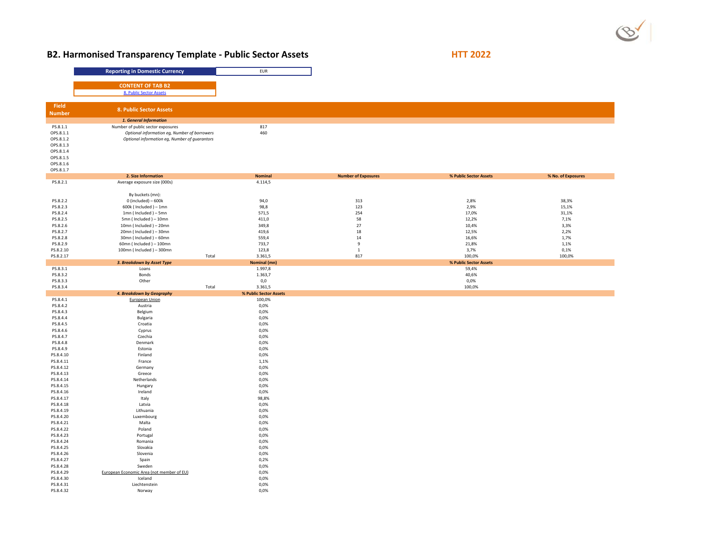# **B2. Harmonised Transparency Template - Public Sector Assets HTT 2022**

|                        | <b>Reporting in Domestic Currency</b>            | <b>EUR</b>             |              |                            |                        |
|------------------------|--------------------------------------------------|------------------------|--------------|----------------------------|------------------------|
|                        |                                                  |                        |              |                            |                        |
|                        | <b>CONTENT OF TAB B2</b>                         |                        |              |                            |                        |
|                        | 8. Public Sector Assets                          |                        |              |                            |                        |
| Field                  |                                                  |                        |              |                            |                        |
| <b>Number</b>          | 8. Public Sector Assets                          |                        |              |                            |                        |
|                        | 1. General Information                           |                        |              |                            |                        |
| PS.8.1.1               | Number of public sector exposures                | 817                    |              |                            |                        |
| OPS.8.1.1              | Optional information eg, Number of borrowers     | 460                    |              |                            |                        |
| OPS.8.1.2              | Optional information eg, Number of guarantors    |                        |              |                            |                        |
| OPS.8.1.3<br>OPS.8.1.4 |                                                  |                        |              |                            |                        |
| OPS.8.1.5              |                                                  |                        |              |                            |                        |
| OPS.8.1.6              |                                                  |                        |              |                            |                        |
| OPS.8.1.7              |                                                  |                        |              |                            |                        |
|                        | 2. Size Information                              | <b>Nominal</b>         |              | <b>Number of Exposures</b> | % Public Sector Assets |
| PS.8.2.1               | Average exposure size (000s)                     | 4.114,5                |              |                            |                        |
|                        | By buckets (mn):                                 |                        |              |                            |                        |
| PS.8.2.2               | $0$ (included) $-600k$                           | 94,0                   |              | 313                        | 2,8%                   |
| PS.8.2.3               | $600k$ (Included) - 1mn                          | 98,8                   | 123          |                            | 2,9%                   |
| PS.8.2.4               | $1mn$ (Included) – 5mn                           | 571,5                  | 254          |                            | 17,0%                  |
| PS.8.2.5               | 5mn (Included) - 10mn                            | 411,0                  | 58           |                            | 12,2%                  |
| PS.8.2.6<br>PS.8.2.7   | 10mn (Included) - 20mn<br>20mn (Included) - 30mn | 349,8<br>419,6         | 27<br>18     |                            | 10,4%<br>12,5%         |
| PS.8.2.8               | 30mn (Included) - 60mn                           | 559,4                  | 14           |                            | 16,6%                  |
| PS.8.2.9               | 60mn (Included) - 100mn                          | 733,7                  | 9            |                            | 21,8%                  |
| PS.8.2.10              | 100mn (Included) - 300mn                         | 123,8                  | $\mathbf{1}$ |                            | 3,7%                   |
| PS.8.2.17              | Total                                            | 3.361,5                | 817          |                            | 100,0%                 |
|                        | 3. Breakdown by Asset Type                       | Nominal (mn)           |              |                            | % Public Sector Assets |
| PS.8.3.1<br>PS.8.3.2   | Loans<br>Bonds                                   | 1.997,8<br>1.363,7     |              |                            | 59,4%<br>40,6%         |
| PS.8.3.3               | Other                                            | 0,0                    |              |                            | 0,0%                   |
| PS.8.3.4               | Total                                            | 3.361,5                |              |                            | 100,0%                 |
|                        | 4. Breakdown by Geography                        | % Public Sector Assets |              |                            |                        |
| PS.8.4.1               | European Union                                   | 100,0%                 |              |                            |                        |
| PS.8.4.2<br>PS.8.4.3   | Austria                                          | 0,0%<br>0,0%           |              |                            |                        |
| PS.8.4.4               | Belgium<br>Bulgaria                              | 0,0%                   |              |                            |                        |
| PS.8.4.5               | Croatia                                          | 0,0%                   |              |                            |                        |
| PS.8.4.6               | Cyprus                                           | 0,0%                   |              |                            |                        |
| PS.8.4.7               | Czechia                                          | 0,0%                   |              |                            |                        |
| PS.8.4.8               | Denmark                                          | 0,0%                   |              |                            |                        |
| PS.8.4.9               | Estonia                                          | 0,0%                   |              |                            |                        |
| PS.8.4.10<br>PS.8.4.11 | Finland<br>France                                | 0,0%<br>1,1%           |              |                            |                        |
| PS.8.4.12              | Germany                                          | 0,0%                   |              |                            |                        |
| PS.8.4.13              | Greece                                           | 0,0%                   |              |                            |                        |
| PS.8.4.14              | Netherlands                                      | 0,0%                   |              |                            |                        |
| PS.8.4.15              | Hungary                                          | 0,0%                   |              |                            |                        |
| PS.8.4.16              | Ireland                                          | 0,0%                   |              |                            |                        |
| PS.8.4.17<br>PS.8.4.18 | Italy<br>Latvia                                  | 98,8%<br>0,0%          |              |                            |                        |
| PS.8.4.19              | Lithuania                                        | 0,0%                   |              |                            |                        |
| PS.8.4.20              | Luxembourg                                       | 0,0%                   |              |                            |                        |
| PS.8.4.21              | Malta                                            | 0,0%                   |              |                            |                        |
| PS.8.4.22              | Poland                                           | 0,0%                   |              |                            |                        |
| PS.8.4.23              | Portugal                                         | 0,0%                   |              |                            |                        |
| PS.8.4.24<br>PS.8.4.25 | Romania<br>Slovakia                              | 0,0%<br>0,0%           |              |                            |                        |
| PS.8.4.26              | Slovenia                                         | 0,0%                   |              |                            |                        |
| PS.8.4.27              | Spain                                            | 0,2%                   |              |                            |                        |
| PS.8.4.28              | Sweden                                           | 0,0%                   |              |                            |                        |
| PS.8.4.29              | European Economic Area (not member of EU)        | 0,0%                   |              |                            |                        |
| PS.8.4.30<br>PS.8.4.31 | Iceland<br>Liechtenstein                         | 0,0%<br>0,0%           |              |                            |                        |
| PS.8.4.32              | Norway                                           | 0.0%                   |              |                            |                        |
|                        |                                                  |                        |              |                            |                        |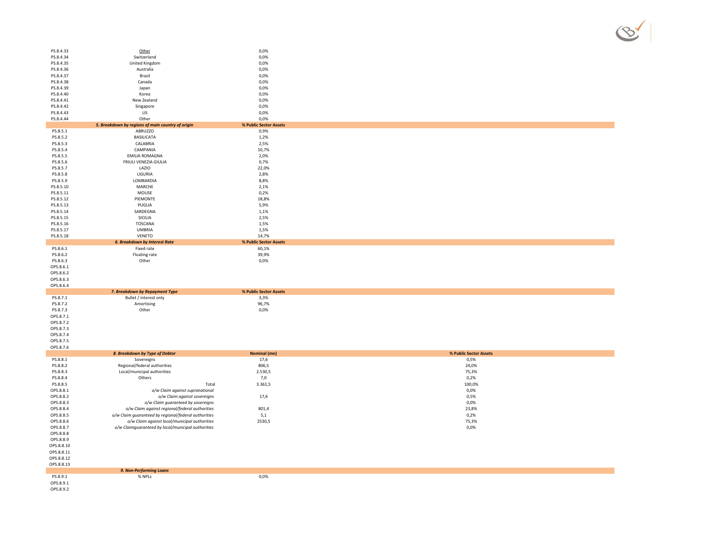| PS.8.4.33                          | Other                                                           | 0,0%                   |
|------------------------------------|-----------------------------------------------------------------|------------------------|
| PS.8.4.34                          | Switzerland                                                     | 0,0%                   |
| PS.8.4.35                          | United Kingdom                                                  | 0,0%                   |
| PS.8.4.36                          | Australia                                                       | 0,0%                   |
| PS.8.4.37                          | Brazil                                                          | 0,0%                   |
| PS.8.4.38<br>PS.8.4.39             | Canada<br>Japan                                                 | 0,0%<br>0,0%           |
| PS.8.4.40                          | Korea                                                           | 0,0%                   |
| PS.8.4.41                          | New Zealand                                                     | 0,0%                   |
| PS.8.4.42                          | Singapore                                                       | 0,0%                   |
| PS.8.4.43                          | US                                                              | 0,0%                   |
| PS.8.4.44                          | Other                                                           | 0,0%                   |
|                                    | 5. Breakdown by regions of main country of origin               | % Public Sector Assets |
| PS.8.5.1<br>PS.8.5.2               | ABRUZZO<br><b>BASILICATA</b>                                    | 0,9%<br>1,2%           |
| PS.8.5.3                           | CALABRIA                                                        | 2,5%                   |
| PS.8.5.4                           | CAMPANIA                                                        | 10,7%                  |
| PS.8.5.5                           | <b>EMILIA ROMAGNA</b>                                           | 2,0%                   |
| PS.8.5.6                           | FRIULI VENEZIA GIULIA                                           | 0,7%                   |
| PS.8.5.7                           | LAZIO                                                           | 22,0%                  |
| PS.8.5.8                           | LIGURIA                                                         | 2,8%                   |
| PS.8.5.9                           | LOMBARDIA                                                       | 8,8%                   |
| PS.8.5.10                          | MARCHE                                                          | 2,1%                   |
| PS.8.5.11                          | MOLISE                                                          | 0,2%                   |
| PS.8.5.12                          | PIEMONTE                                                        | 18,8%                  |
| PS.8.5.13                          | PUGLIA                                                          | 5,9%                   |
| PS.8.5.14<br>PS.8.5.15             | SARDEGNA                                                        | 1,1%<br>2,5%           |
| PS.8.5.16                          | SICILIA<br>TOSCANA                                              | 1,5%                   |
| PS.8.5.17                          | <b>UMBRIA</b>                                                   | 1,5%                   |
| PS.8.5.18                          | VENETO                                                          | 14,7%                  |
|                                    | <b>6. Breakdown by Interest Rate</b>                            | % Public Sector Assets |
| PS.8.6.1                           | Fixed rate                                                      | 60,1%                  |
| PS.8.6.2                           | Floating rate                                                   | 39,9%                  |
| PS.8.6.3                           | Other                                                           | 0,0%                   |
| OPS.8.6.1                          |                                                                 |                        |
|                                    |                                                                 |                        |
| OPS.8.6.2                          |                                                                 |                        |
| OPS.8.6.3                          |                                                                 |                        |
| OPS.8.6.4                          |                                                                 |                        |
|                                    | 7. Breakdown by Repayment Type                                  | % Public Sector Assets |
| PS.8.7.1                           | Bullet / interest only                                          | 3,3%                   |
| PS.8.7.2<br>PS.8.7.3               | Amortising                                                      | 96,7%                  |
| OPS.8.7.1                          | Other                                                           | 0,0%                   |
| OPS.8.7.2                          |                                                                 |                        |
| OPS.8.7.3                          |                                                                 |                        |
| OPS.8.7.4                          |                                                                 |                        |
| OPS.8.7.5                          |                                                                 |                        |
| OPS.8.7.6                          |                                                                 |                        |
|                                    | 8. Breakdown by Type of Debtor                                  | Nominal (mn)           |
| PS.8.8.1                           | Sovereigns                                                      | 17,6                   |
| PS.8.8.2                           | Regional/federal authorities                                    | 806,5                  |
| PS.8.8.3                           | Local/municipal authorities                                     | 2.530,5                |
| PS.8.8.4<br>PS.8.8.5               | Others<br>Total                                                 | 7,0<br>3.361,5         |
| OPS.8.8.1                          |                                                                 |                        |
| OPS.8.8.2                          | o/w Claim against supranational<br>o/w Claim against sovereigns | 17,6                   |
| OPS.8.8.3                          | o/w Claim guaranteed by sovereigns                              |                        |
| OPS.8.8.4                          | o/w Claim against regional/federal authorities                  | 801,4                  |
| OPS.8.8.5                          | o/w Claim guaranteed by regional/federal authorities            | 5,1                    |
| OPS.8.8.6                          | o/w Claim against local/municipal authorities                   | 2530,5                 |
| OPS.8.8.7                          | o/w Claimguaranteed by local/municipal authorities              |                        |
| OPS.8.8.8                          |                                                                 |                        |
| OPS.8.8.9                          |                                                                 |                        |
| OPS.8.8.10                         |                                                                 |                        |
| OPS.8.8.11                         |                                                                 |                        |
| OPS.8.8.12                         |                                                                 |                        |
| OPS.8.8.13                         |                                                                 |                        |
|                                    | 9. Non-Performing Loans                                         |                        |
| PS.8.9.1<br>OPS.8.9.1<br>OPS.8.9.2 | % NPLs                                                          | 0,0%                   |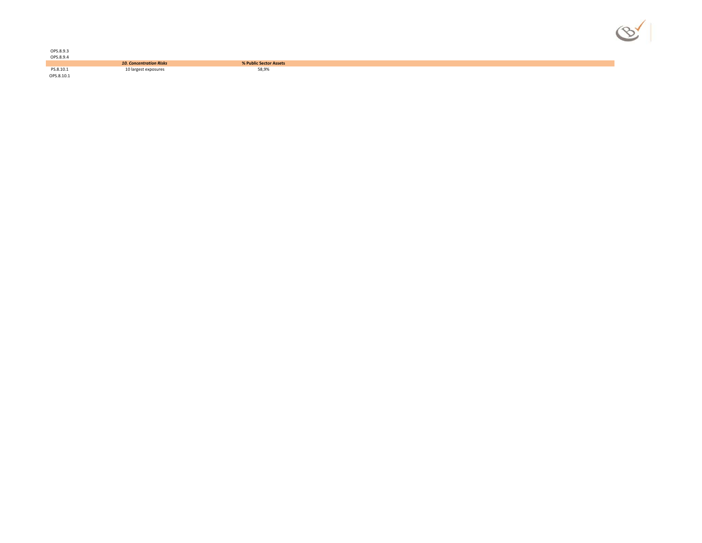| N |  |    |  |
|---|--|----|--|
|   |  | Ÿ, |  |

| OPS.8.9.3<br>OPS.8.9.4  |                                |                        |
|-------------------------|--------------------------------|------------------------|
|                         |                                |                        |
|                         | <b>10. Concentration Risks</b> | % Public Sector Assets |
| PS.8.10.1<br>OPS.8.10.1 | 10 largest exposures           | 58,9%                  |
|                         |                                |                        |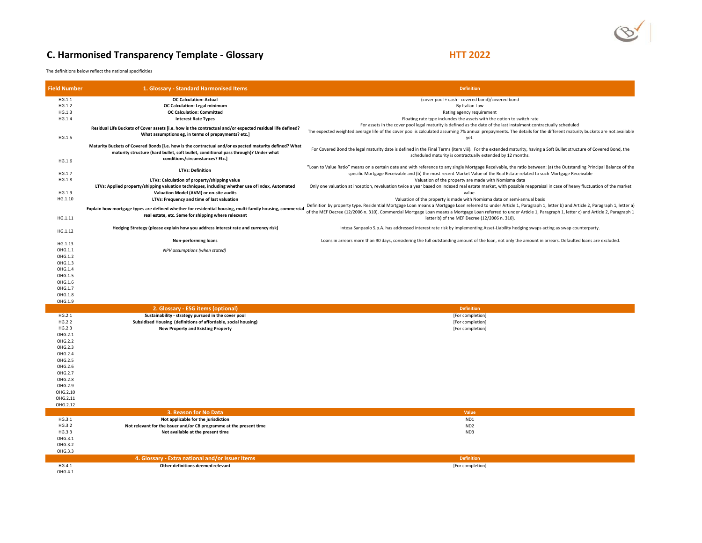# **C. Harmonised Transparency Template - Glossary <b>HTT 2022 HTT 2022**

The definitions below reflect the national specificities

| <b>Field Number</b> | 1. Glossary - Standard Harmonised Items                                                                   | <b>Definition</b>                                                                                                                                                      |
|---------------------|-----------------------------------------------------------------------------------------------------------|------------------------------------------------------------------------------------------------------------------------------------------------------------------------|
| HG.1.1              | <b>OC Calculation: Actual</b>                                                                             | (cover pool + cash - covered bond)/covered bond                                                                                                                        |
| HG.1.2              | OC Calculation: Legal minimum                                                                             | By Italian Law                                                                                                                                                         |
| HG.1.3              | <b>OC Calculation: Committed</b>                                                                          | Rating agency requirement                                                                                                                                              |
| HG.1.4              | <b>Interest Rate Types</b>                                                                                | Floating rate type inclundes the assets with the option to switch rate                                                                                                 |
|                     |                                                                                                           | For assets in the cover pool legal maturity is defined as the date of the last instalment contractually scheduled                                                      |
|                     | Residual Life Buckets of Cover assets [i.e. how is the contractual and/or expected residual life defined? | The expected weighted average life of the cover pool is calculated assuming 7% annual prepayments. The details for the different maturity buckets are not available    |
| HG.1.5              | What assumptions eg, in terms of prepayments? etc.]                                                       | yet.                                                                                                                                                                   |
|                     | Maturity Buckets of Covered Bonds [i.e. how is the contractual and/or expected maturity defined? What     |                                                                                                                                                                        |
|                     |                                                                                                           | For Covered Bond the legal maturity date is defined in the Final Terms (item viii). For the extended maturity, having a Soft Bullet structure of Covered Bond, the     |
|                     | maturity structure (hard bullet, soft bullet, conditional pass through)? Under what                       | scheduled maturity is contractually extended by 12 months.                                                                                                             |
| HG.1.6              | conditions/circumstances? Etc.]                                                                           |                                                                                                                                                                        |
|                     | <b>LTVs: Definition</b>                                                                                   | "Loan to Value Ratio" means on a certain date and with reference to any single Mortgage Receivable, the ratio between: (a) the Outstanding Principal Balance of the    |
| HG.1.7              |                                                                                                           | specific Mortgage Receivable and (b) the most recent Market Value of the Real Estate related to such Mortgage Receivable                                               |
| HG.1.8              | LTVs: Calculation of property/shipping value                                                              | Valuation of the property are made with Nomisma data                                                                                                                   |
|                     | LTVs: Applied property/shipping valuation techniques, including whether use of index, Automated           | Only one valuation at inception, revaluation twice a year based on indexed real estate market, with possible reappraisal in case of heavy fluctuation of the market    |
| HG.1.9              | Valuation Model (AVM) or on-site audits                                                                   | value.                                                                                                                                                                 |
| HG.1.10             | LTVs: Frequency and time of last valuation                                                                | Valuation of the property is made with Nomisma data on semi-annual basis                                                                                               |
|                     |                                                                                                           | Definition by property type. Residential Mortgage Loan means a Mortgage Loan referred to under Article 1, Paragraph 1, letter b) and Article 2, Paragraph 1, letter a) |
|                     | Explain how mortgage types are defined whether for residential housing, multi-family housing, commercial  | of the MEF Decree (12/2006 n. 310). Commercial Mortgage Loan means a Mortgage Loan referred to under Article 1, Paragraph 1, letter c) and Article 2, Paragraph 1      |
| HG.1.11             | real estate, etc. Same for shipping where relecvant                                                       | letter b) of the MEF Decree (12/2006 n. 310).                                                                                                                          |
|                     |                                                                                                           |                                                                                                                                                                        |
| HG.1.12             | Hedging Strategy (please explain how you address interest rate and currency risk)                         | Intesa Sanpaolo S.p.A. has addressed interest rate risk by implementing Asset-Liability hedging swaps acting as swap counterparty.                                     |
|                     |                                                                                                           |                                                                                                                                                                        |
| HG.1.13             | Non-performing loans                                                                                      | Loans in arrears more than 90 days, considering the full outstanding amount of the loan, not only the amount in arrears. Defaulted loans are excluded.                 |
| OHG.1.1             | NPV assumptions (when stated)                                                                             |                                                                                                                                                                        |
| OHG.1.2             |                                                                                                           |                                                                                                                                                                        |
| OHG.1.3             |                                                                                                           |                                                                                                                                                                        |
| OHG.1.4             |                                                                                                           |                                                                                                                                                                        |
| OHG.1.5             |                                                                                                           |                                                                                                                                                                        |
| OHG.1.6             |                                                                                                           |                                                                                                                                                                        |
|                     |                                                                                                           |                                                                                                                                                                        |
| OHG.1.7             |                                                                                                           |                                                                                                                                                                        |
| OHG.1.8<br>OHG.1.9  |                                                                                                           |                                                                                                                                                                        |
|                     |                                                                                                           |                                                                                                                                                                        |
|                     | 2. Glossary - ESG items (optional)                                                                        | <b>Definition</b>                                                                                                                                                      |
| HG.2.1              | Sustainability - strategy pursued in the cover pool                                                       | [For completion]                                                                                                                                                       |
| HG.2.2              | Subsidised Housing (definitions of affordable, social housing)                                            | [For completion]                                                                                                                                                       |
| HG.2.3              | <b>New Property and Existing Property</b>                                                                 | [For completion]                                                                                                                                                       |
| OHG.2.1             |                                                                                                           |                                                                                                                                                                        |
| OHG.2.2             |                                                                                                           |                                                                                                                                                                        |
| OHG.2.3             |                                                                                                           |                                                                                                                                                                        |
| OHG.2.4             |                                                                                                           |                                                                                                                                                                        |
| OHG.2.5             |                                                                                                           |                                                                                                                                                                        |
| OHG.2.6             |                                                                                                           |                                                                                                                                                                        |
| OHG.2.7             |                                                                                                           |                                                                                                                                                                        |
| OHG.2.8             |                                                                                                           |                                                                                                                                                                        |
| OHG.2.9             |                                                                                                           |                                                                                                                                                                        |
| OHG.2.10            |                                                                                                           |                                                                                                                                                                        |
| OHG.2.11            |                                                                                                           |                                                                                                                                                                        |
| OHG.2.12            |                                                                                                           |                                                                                                                                                                        |
|                     | 3. Reason for No Data                                                                                     | Value                                                                                                                                                                  |
| HG.3.1              | Not applicable for the jurisdiction                                                                       | ND <sub>1</sub>                                                                                                                                                        |
| HG.3.2              | Not relevant for the issuer and/or CB programme at the present time                                       | ND <sub>2</sub>                                                                                                                                                        |
| HG.3.3              | Not available at the present time                                                                         | ND3                                                                                                                                                                    |
| OHG.3.1             |                                                                                                           |                                                                                                                                                                        |
| OHG.3.2             |                                                                                                           |                                                                                                                                                                        |
| OHG.3.3             |                                                                                                           |                                                                                                                                                                        |
|                     | 4. Glossary - Extra national and/or Issuer Items                                                          | <b>Definition</b>                                                                                                                                                      |
| HG.4.1              | Other definitions deemed relevant                                                                         |                                                                                                                                                                        |
|                     |                                                                                                           | [For completion]                                                                                                                                                       |
| OHG.4.1             |                                                                                                           |                                                                                                                                                                        |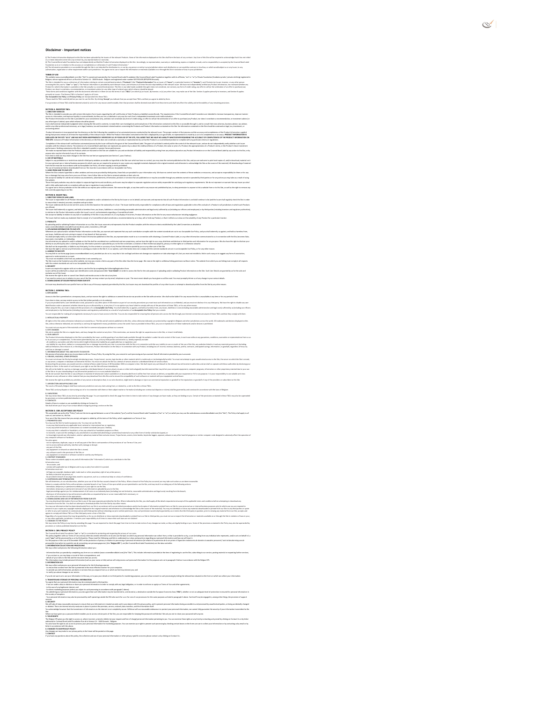#### **Disclaimer ‐ Important notices**

.<br>I the relevant Products, None of the information displayed on this Site shall form the basis of any contract. Any User of this Site will be required to acknowledge that it has not relie<br>shormation displayed on this Site. or, then haddo eler its an optom), any appearation and production and the According, or symmetrics, weren't outstating express trajed, and is a monoidity a considered in the Consideration of the Consideration of the Consid

TBM Of We amended in the Sixteen state in the first of the first of the first of the first of the Sixteen Sixteen Sixteen Sixteen Sixteen Sixteen Sixteen Sixteen Sixteen Sixteen Sixteen Sixteen Sixteen Sixteen Sixteen Sixt

Our Acceptabe Use Poley and year of the second into the TaCapt" you indicate that you accept these TaCs and that you agree to able by them.<br>Flearned the TaCs careful year our counter, we are also to the second the second t

#### **SECTION A. INVESTOR T&Cs 1. DIRECTORY SERVICES**

The Site is intended to provide you with certain information from Issuers regarding the self‐certification of their Products as labelled covered bonds. The requirements of the Covered Bond Label Convention are intended to increase transparency, improve investor access to information, and improve liquidity in covered bonds, but they are not a substitute in any way for each User's independent investment and credit evaluation. The Product Information on this Site is provided for your convenience only, and does not constitute any form of credit rating, an offer to sell (or the solicitation of an offer to purchase) any Product, nor does it constitute a recommendation, or investment advice (or any other type of advice) upon which reliance should be placed. Users shall exercise independent judgment when viewing the Site and its contents, to make their own investigations and evaluations of the information contained on this Site or accessible through it, and to consult their own attorney, business adviser, tax adviser, and/or any other professional necessary, as to legal, business, tax and investment‐related matters concerning the Products and Product Information contained on this Site. No information contained on the Site should be construed as legal, tax, investment, or scouts sée.<br>Point someon representative de la forma de la complete a associative de la complete de la comparative de la co<br>Andre someon representative de la forma de la forma de la comparative de la comparative de la compl Copylist d'in niwat af-afficiins administracta phe law will led to be part the Connel Government in the party of the law of the transverse in the main the main the main the main of the connect of the connect property in th anyone who may be informed of any of its contents. From time to time we may make changes to the Site that we feel are appropriate (see Section C, para 3 below). We make no represe<br>anyone who may be i<br>From time to time we<br>2. USE OF MATERIAL<br>Subject to any probib

Salecto any prohibions or melclon stated in the party wholes according in typerfolic in the Ste over which we have as control, you may when the conten polities for this Shape which are only and political and political and **Start Start Community Community**<br> **3. LINKS FROM AND TO OUR SITE<br>
<b>3. LINKS FROM AND TO OUR SITE**<br> **3. LINKS FROM AND TO OUR SITE** 

The affective computers the method in control of the property in the state of the state of the state of control the state repeats of the state of the state of the state of the state of the state of the state of the state o

#### **SECTION B. ISSUER T&Cs 1. DIRECTORY SERVICES AND LABEL**

The issuer is myomble for all Poduct informion upbaded to ander walking on the business on to be had and the standard that include the material and and the continue of the business in the business and the business of the b արմում.<br>Այս անա հայտն դարձ տենք տեսական դոլուս նմեր ուս ին նմարտականում ուսեց առկաներ դիմանք աժեռան որերուն երեք իրենք իսատականությունները։<br>Weap ունենք համար արձան անախան անաստականել չնարքնանում, համար անար անք եր դրատանա

dating Product information or our Site, the Issuer warrants and represents that Product complies with the relevant criteria established by the Label Convention as detailed at<br>compet/Covered, Bond, Label, Convention, 2015.p

2. PRODUCTS<br>By uploading and/or validating Product information on our Site, the Issuer warre<br>Www.converticentialest.com/pdf/Covered, Bond, Linkel, Convertion, 2015.pdf<br>3. UPLOAENNG WAGMAATION TO OUR SITE<br>Whenever you uploa themergeduced and heliotentheir this person in dependent of the control of the control of the first of the control of the control of the control of the control of the control of the control of the control of the control of

Lawan Dokken – para amabudakani, poletysé si say kit bi ralapladan ut éng sangatar stérándat af kan mata adéba<br>Yanadi cidade is tan a wést fact arandya.<br>Tan amatuk badan ay wést fact arandya.<br>Tan amatukan diakut kapal tana You must not establish a link from any website that is not owned by you. The Site must not be framed on any other website, nor may you create a link to any part of the Site other than the home page. We reserve the right to withdraw linking permission without notice. The website from which you are linking must comply in all respects with the content standards set out in our Acceptable Use Policy. Issuers are required to register with us in order to use the Site by completing the followingRegistration Form. Issuers will be provided with a unique user identification code and password (the "**User Details**") in order to access the Site for the sole purpose of uploading and/or validating Product Information on the Site. Such User Details are granted by us for the sole and exclusive use of the Issuer. We reserve the right to alter or cancel User Details and revoke access to the site at any time.

*Secure 12 mail not be framed on as*<br>with the content standards set out<br>S. SECURITY

if we needs contat you in mistion to you we of the Stay, we may contatly ou email, telephone or part. The most recent details you have given us will be used. You must prompty inform us of any change in your contact details issuer may download its own profile from our Site is any of the ways expressly permited by the Site, but issues may not download the profiles of any other issues or attempt to download profiles from the Site by any other m

**SECTION C. GENERAL T&Cs 1. SITE ACCESS**

kam in Sia jamika temperak dan menteratif antara rendah antara pada atau kata wakat bebaran masin beranama kar<br>temperan pada temperan mengantuk dan menjadi mengambangkan pada tersebut di menjadi sepan dalam kemperan pada m umiconyindhe pratica da la Angelikh in Nay Sushiminin a samu undan ambara ny pamao Title Na, Entranyidh neao a<br>Kipitin Solatginnin aningkiny naomini ni mahi kapanin a sakapilak in Pag-ia pa anni.<br>Eth ), Millions worker was the state of party at Thick and distributions the first and counter in providing the product and property and the state of the state of the state of the state of the state of the state of the state o **3. SITE CHANGES 4. OUR LIABILITY** such loss or damage is caused. **5. INFORMATION ABOUT YOU AND VISITS TO OUR SITE** ik pam interlinkering mental this first play in the product in the product in the product in the state. In the state of the state of the state of the state of the state of the state of the state of the state of the state o of the Stearts your downloading of any information pointed at or on any website listed to be one construct from it is with the free from visuan or defects, compatible with your equipment or fit for any purpose. It is your Wrown the glu political section and decretion the structure of the longer layer assemely making guaded interpolition and the province analogic to the location of the structure of the property of the structure of the struct Wrap michar IKa ing tang-medaphyap. Kuan epadatu deublapp fonter bireto biretot af m'dage when ma, niby arbidgonya. Cetie of the problem control these IKa mysles bearings in<br>by problem was published market and the control. stCholo, Call ACCYMAE US FOUCY<br>Thisceptide as policy for Volvid for the musped between use of the weble (You') and the Coored Eact Links (You'll available). We'll' you have the website was coveredocable(.com/the "Set"). Th introduced by the material method in the state state is at the transit but play, which angles on the Transit U<br>in the control of the material method in the state of the state of the state of the state of the state of the<br> eloui.<br>New Fifficii,<br>Spal or effect,<br>Savirust, Tojak boxe, wom, time-both, kydrák bigen, opeus, sáwa or any ofter hamlá pogam or únike conputer code designed is adversé affect the op - any software sued in the provision of the Ster, or<br>- any equipment or network or software owned or used by any third party.<br>2. CONTEXT STANDARDS<br>These content standards apply to any and all information (the "information" information must:<br>∙ be accurate; and<br>∙ comply with applicable law in Belgium and in any country from which it is posted.<br>Information must not: - infringe any copyright, database right, trade mark or other proprietary right of any other person;<br>- be likely to deceive any person; or<br>- be provided in breach of any legal duty owed to any person, such as a contractual 3. SUSPENSION AND TERMINATION<br>We will determine, at our sole discretion, whether your use of the Site has caused a breach of the Policy has been between the Policy has occurred, we may take such action as we deem reasonabl l'adentaryje del Maria Grande a miestancia del Tanto Visual del Maria Carlos de la Maria de Maria Carlos del Maria<br>1996: la maria del Maria Grande del Maria Carlos del Maria Carlos del Maria Carlos del Maria Carlos del Mar We my whe the Policy stay time by annoting this page. You are expected to check this page from time to time to time to take notice of any changes we make, as they are legihy binding on you. Some of the provisions contained account can awake Your Your State and the most of the state of an any original control of the problem in a series and the state of the state of the state of the state of the state of the state of the state of the state of For the purpose or the Law ons Lincenter zavu critine protection<br>personalise inventifier for apsicher van de ververding van penso<br>1. INFORMATION COLLECTION AND PROCESSING<br>We may collect and process the following informatio - irlundschts papede in genörden for store and de lews common the learn in the learn in the learn of the common product the time of registing to an the Sta, subscript to an end of the state of the state of the state of the 2. WEGONAM DIGN USE<br>We may collect and process your personal information for the following purposes:<br>- to ensure that content from the Site is presented in the most effective manner for your computer;<br>- to ensure that cont if an income and any official the of paper and in the paper in the theory in the state of the first state in the transfer and in the transfer and the state of the state of the state of the state of the state of the state o Were they also pured who advance something of the Sy pure reports the large pured confident in an incomparison the started who are also advanced to the system of the system of the system of the system of the system of the

*G. CHANGES TO*<br>*Any changes were*<br>**7. CONTACT** 

s. OMMGS TO OUR PRIVAT POLOY<br>Any charges we may make to our privacy policy in the future will be posted on this page.<br>If you have any questions about this policy, the collection and use of your personal information or othe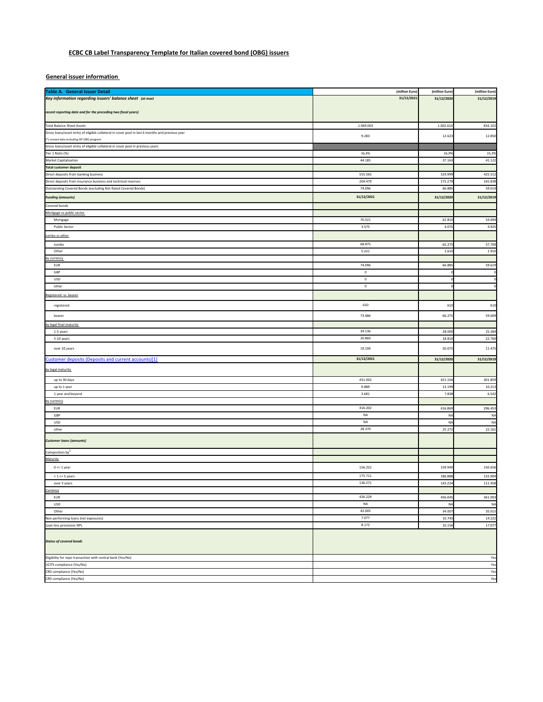## **ECBC CB Label Transparency Template for Italian covered bond (OBG) issuers**

**General issuer information** 

| <b>Table A. General Issuer Detail</b>                                                           | (million Euro) | (million Euro)   | (million Euro) |
|-------------------------------------------------------------------------------------------------|----------------|------------------|----------------|
| Key information regarding issuers' balance sheet (at most                                       | 31/12/2021     | 31/12/2020       | 31/12/2019     |
|                                                                                                 |                |                  |                |
| recent reporting date and for the preceding two fiscal years)                                   |                |                  |                |
|                                                                                                 |                |                  |                |
| <b>Total Balance Sheet Assets</b>                                                               | 1.069.003      | 1.002.61         | 816.102        |
| Gross loans/asset entry of eligible collateral in cover pool in last 6 months and previous year | 9.283          | 12.62            | 12.850         |
| *) revised data including ISP OBG program                                                       |                |                  |                |
| Gross loans/asset entry of eligible collateral in cover pool in previous years                  |                |                  |                |
| Tier 1 Ratio (%)                                                                                | 16,4%          | 16,99            | 15,3%          |
| Market Capitalisation                                                                           | 44.185         | 37.163           | 41.122         |
| <b>Total customer deposit</b>                                                                   |                |                  |                |
| Direct deposits from banking business                                                           | 555.565        | 524.999          | 425.512        |
| Direct deposits from insurance business and technical reserves                                  | 204.479        | 175.27           | 165.838        |
| Outstanding Covered Bonds (excluding Not Rated Covered Bonds)                                   | 74.096         | 66.88            | 59.619         |
| <b>Funding (amounts)</b>                                                                        | 31/12/2021     | 31/12/2020       | 31/12/2019     |
| Covered bonds                                                                                   |                |                  |                |
| Mortgage vs public sector                                                                       |                |                  |                |
| Mortgage                                                                                        | 70.521         | 62.81            | 54.694         |
| Public Sector                                                                                   | 3.575          | 4.075            | 4.925          |
|                                                                                                 |                |                  |                |
| umbo vs other                                                                                   |                |                  |                |
| Jumbo                                                                                           | 68.875         | 65.27            | 57.709         |
| Other                                                                                           | 5.221          | 1.610            | 1.910          |
| by currency                                                                                     |                |                  |                |
| EUR                                                                                             | 74.096         | 66.88            | 59.619         |
| GBP                                                                                             | $\mathbf 0$    |                  |                |
| USD                                                                                             | $\mathbf 0$    |                  |                |
| other                                                                                           | $\mathbf 0$    |                  |                |
| Registered vs bearer                                                                            |                |                  |                |
| registered                                                                                      | 610            | 610              | 610            |
| bearer                                                                                          | 73.486         | 66.27            | 59.009         |
|                                                                                                 |                |                  |                |
| by legal final maturity                                                                         |                |                  |                |
| 1-5 years                                                                                       | 34.136         | 28.000<br>18.810 | 25.384         |
| 5-10 years                                                                                      | 20.860         |                  | 22.760         |
| over 10 years                                                                                   | 19.100         | 20.075           | 11.475         |
| Customer deposits (Deposits and current accounts)[1]                                            | 31/12/2021     | 31/12/2020       | 31/12/2019     |
| by legal maturity                                                                               |                |                  |                |
| up to 30 days                                                                                   | 431.002        | 421.10           | 301.859        |
| up to 1 year                                                                                    | 9.889          | 13.199           | 10.213         |
| 1 year and beyond                                                                               | 3.681          | 7.838            | 6.54           |
| by currency                                                                                     |                |                  |                |
| EUR                                                                                             | 416.202        | 416.869          | 296.453        |
|                                                                                                 | NA             |                  |                |
| GBP<br>USD                                                                                      | $_{\sf NA}$    | NΑ<br>NA         | NΑ<br>N        |
|                                                                                                 | 28.370         |                  | 22.161         |
| other                                                                                           |                | 25.272           |                |
| <b>Customer loans (amounts)</b>                                                                 |                |                  |                |
| Composition by <sup>1</sup>                                                                     |                |                  |                |
| Maturity                                                                                        |                |                  |                |
|                                                                                                 | 156.252        | 159.940          | 150.656        |
| $0 \leq x 1$ year                                                                               |                |                  |                |
| $<$ 1 $<$ = 5 years                                                                             | 175.711        | 186.88           | 133.904        |
| over 5 years                                                                                    | 136.271        | 143.224          | 111.458        |
| Currency                                                                                        |                |                  |                |
| EUR                                                                                             | 426.229        | 456.045          | 361.003        |
| USD                                                                                             | NA             | NA               | NA             |
| Other                                                                                           | 42.005         | 34.00            | 35.015         |
| Non-performing loans (net exposures)                                                            | 7.077          | 10.74            | 14.222         |
| Loan loss provisions NPL                                                                        | 8.172          | 10.156           | 17.077         |
| <b>Status of covered bonds</b>                                                                  |                |                  |                |
| Eligibility for repo transaction with central bank (Yes/No)                                     |                |                  | Yes            |
| UCITS compliance (Yes/No)                                                                       |                |                  | Yes            |
| CRD compliance (Yes/No)                                                                         |                |                  | Yes            |
| CRD compliance (Yes/No)                                                                         |                |                  | Yes            |
|                                                                                                 |                |                  |                |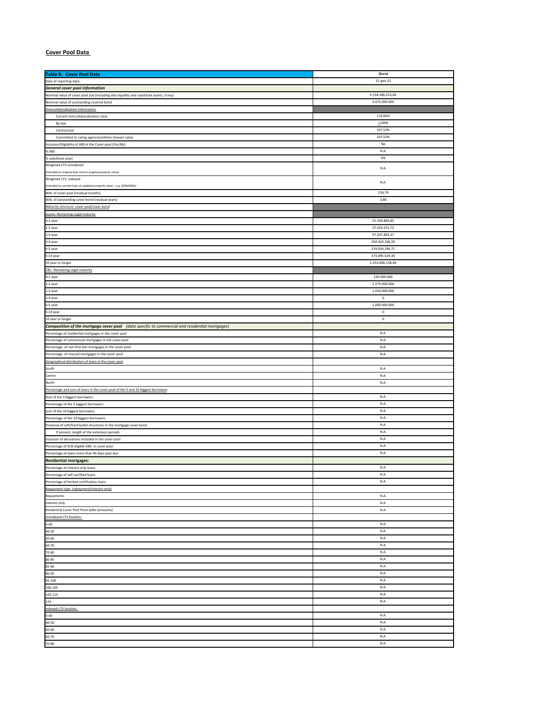## **Cover Pool Data**

| Table B. Cover Pool Data                                                                       | (Euro)           |
|------------------------------------------------------------------------------------------------|------------------|
|                                                                                                |                  |
| Date of reporting data:                                                                        | 31-gen-22        |
| <b>General cover pool information</b>                                                          |                  |
| Nominal value of cover pool size (including also liquidity and substitute assets, if any)      | 4.158.286.253,66 |
| Nominal value of outstanding covered bond                                                      | 3.475.000.000    |
|                                                                                                |                  |
| Overcollateralisation information                                                              |                  |
| Current overcollateralisation ratio                                                            | 119,66%          |
| By law                                                                                         | $_{2100\%}$      |
| Contractual                                                                                    | 107,53%          |
| Committed to rating agencies/others (lowest ratio)                                             | 107,53%          |
|                                                                                                |                  |
| Inclusion/Eligibility of ABS in the Cover pool (Yes/No)                                        | No               |
| % ABS                                                                                          | N.A.             |
| % substitute asset                                                                             | 0%               |
| Weighted LTV unindexed                                                                         |                  |
|                                                                                                | N.A.             |
| Intended as original loan and on original property value)                                      |                  |
| Weighted LTV indexed                                                                           | N.A.             |
| Intended as current loan on updated property value - e.g. NOMISMA)                             |                  |
| WAL of cover pool (residual months)                                                            | 159,79           |
| WAL of outstanding cover bond (residual years)                                                 | 2,80             |
|                                                                                                |                  |
| Maturity structure cover pool/cover bond                                                       |                  |
| <b>Assets: Remaining Legal maturity</b>                                                        |                  |
| 0-1 year                                                                                       | 31.504.860,85    |
| 1-2 year                                                                                       | 37.016.072,73    |
| 2-3 year                                                                                       | 97.037.863,37    |
|                                                                                                |                  |
| 3-4 year                                                                                       | 350.424.206,20   |
| 4-5 year                                                                                       | 219.034.290,71   |
| 5-10 year                                                                                      | 373.495.529,30   |
| 10 year or longer                                                                              | 2.253.006.158,49 |
|                                                                                                |                  |
| CBs: Remaining Legal maturity                                                                  |                  |
| 0-1 year                                                                                       | 150.000.000      |
| 1-2 year                                                                                       | 1.275.000.000    |
| 2-3 year                                                                                       | 1.050.000.000    |
|                                                                                                |                  |
| 3-4 year                                                                                       | $\mathbf 0$      |
| 4-5 year                                                                                       | 1.000.000.000    |
| 5-10 year                                                                                      | $\mathbf 0$      |
| 10 year or longer                                                                              | $\mathbf 0$      |
|                                                                                                |                  |
| Composition of the mortgage cover pool (data specific to commercial and residential mortgages) |                  |
| Percentage of residential mortgages in the cover pool                                          | N.A.             |
| Percentage of commercial mortgages in the cover pool                                           | N.A.             |
| Percentage of non-first lien mortgages in the cover pool                                       | N.A.             |
|                                                                                                | N.A.             |
| Percentage of insured mortgages in the cover pool                                              |                  |
| Geographical distribution of loans in the cover pool                                           |                  |
| South                                                                                          | N.A.             |
| Centre                                                                                         | N.A.             |
|                                                                                                |                  |
| North                                                                                          | N.A.             |
| Percentage and sum of loans in the cover pool of the 5 and 10 biggest borrowers                |                  |
| Sum of the 5 biggest borrowers                                                                 | N.A.             |
| Percentage of the 5 biggest borrowers                                                          | N.A.             |
| Sum of the 10 biggest borrowers                                                                | N.A.             |
|                                                                                                |                  |
| Percentage of the 10 biggest borrowers                                                         | N.A.             |
| Presence of soft/hard bullet structures in the mortgage cover bond                             | N.A.             |
| If present, length of the extension periods                                                    | N.A.             |
| Inclusion of derivatives included in the cover pool                                            | N.A.             |
|                                                                                                |                  |
| Percentage of ECB eligible ABS in cover pool                                                   | N.A.             |
| Percentage of loans more than 90 days past due                                                 | N.A.             |
| <b>Residential mortgages:</b>                                                                  |                  |
| Percentage of interest only loans                                                              | N.A              |
|                                                                                                |                  |
| Percentage of self-certified loans                                                             | N.A.             |
| Percentage of limited certification loans                                                      | N.A.             |
| Repayment type (repayment/interest-only)                                                       |                  |
| Repayments                                                                                     | N.A.             |
| Interest-only                                                                                  | N.A.             |
|                                                                                                |                  |
| Residential Cover Pool Pivot table (amounts)                                                   | N.A.             |
| Unindexed LTV buckets:                                                                         |                  |
| $0 - 40$                                                                                       | N.A.             |
|                                                                                                |                  |
| 40-50                                                                                          | N.A.             |
| $50 - 60$                                                                                      | N.A.             |
| 60-70                                                                                          | N.A.             |
| 70-80                                                                                          | N.A.             |
| 80-85                                                                                          | N.A.             |
|                                                                                                |                  |
| 85-90                                                                                          | N.A.             |
| 90-95                                                                                          | N.A.             |
| 95-100                                                                                         | N.A.             |
| 100-105                                                                                        | N.A.             |
|                                                                                                |                  |
| 105-115                                                                                        | N.A.             |
| $115 -$                                                                                        | N.A.             |
| Indexed LTV buckets:                                                                           |                  |
| $0 - 40$                                                                                       | N.A.             |
|                                                                                                |                  |
| 40-50                                                                                          | N.A.             |
| $50 - 60$                                                                                      | N.A.             |
| 60-70                                                                                          | N.A.             |
| 70-80                                                                                          | N.A.             |
|                                                                                                |                  |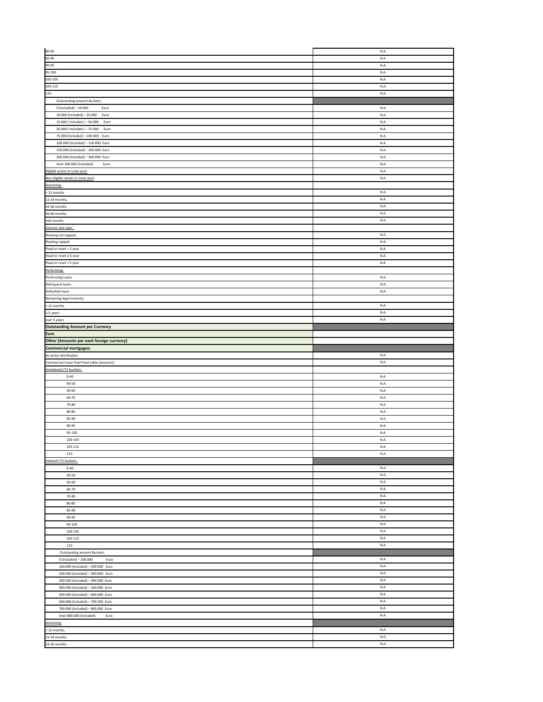|                                                                                           | N.A.            |
|-------------------------------------------------------------------------------------------|-----------------|
| 80-85<br>85-90                                                                            | N.A.            |
|                                                                                           | N.A.            |
| 90-95<br>95-100                                                                           | N.A.            |
| 100-105                                                                                   | N.A.            |
| 105-115                                                                                   | N.A.            |
| 115-                                                                                      | N.A.            |
| Outstanding amount Buckets:                                                               |                 |
| $0$ (included) - 10.000<br>Euro                                                           | N.A.            |
| 10.000 (Included) - 25.000 Euro                                                           | N.A.            |
| 15.000 (Included) - 50.000<br>Euro                                                        | N.A.            |
| 50.000 (Included) - 75.000<br>Euro                                                        | N.A.            |
| 75.000 (Included) - 100.000 Euro                                                          | N.A.            |
| 100.000 (Included) - 150.000 Euro                                                         | N.A.            |
| 150.000 (Included) - 200.000 Euro                                                         | N.A.            |
| 200.000 (Included) - 300.000 Euro                                                         | N.A.            |
| Over 300.000 (Included)<br>Euro                                                           | N.A.            |
|                                                                                           | N.A.            |
| Eligible assets in cover pool.<br>Non eligible assets in cover pool                       | N.A.            |
| Seasoning:                                                                                |                 |
| < 12 months                                                                               | N.A.            |
| $12-24$ months,                                                                           | N.A.            |
| 24-36 months                                                                              | N.A.            |
|                                                                                           | N.A.            |
| $36-60$ months<br>>60 months                                                              | N.A.            |
|                                                                                           |                 |
|                                                                                           | N.A.            |
| Interest rate type:<br>Floating not capped,<br>Floating capped<br>Fixed or reset < 2 year | N.A.            |
|                                                                                           | N.A             |
|                                                                                           | N.A.            |
| Fixed or reset 2-5 year<br>Fixed or reset > 5 year                                        | N.A.            |
| Performing:                                                                               |                 |
| Performing Loans<br>Delinquent loans                                                      | N.A.            |
|                                                                                           | N.A.            |
| Defaulted loans                                                                           | N.A.            |
| Remaining legal maturity:                                                                 |                 |
| < 12 months                                                                               | N.A.            |
| 1-5 years                                                                                 | N.A.            |
| over 5 years<br>Outstanding Amount per Currency                                           | N.A.            |
|                                                                                           |                 |
| Euro                                                                                      |                 |
| Other (Amounts per each foreign currency)                                                 |                 |
|                                                                                           |                 |
|                                                                                           |                 |
| Commercial mortgages:                                                                     | N.A.            |
| by sector distribution                                                                    | N.A.            |
|                                                                                           |                 |
| Commercial Cover Pool Pivot table (amounts)<br>Unindexed LTV buckets:<br>$0 - 40$         | N.A.            |
| 40-50                                                                                     | N.A.            |
| $50 - 60$                                                                                 | N.A.            |
| 60-70                                                                                     | N.A.            |
| 70-80                                                                                     | N.A.            |
| 80-85                                                                                     | N.A.            |
| 85-90                                                                                     | N.A.            |
| 90-95                                                                                     | N.A.            |
| 95-100                                                                                    | N.A.            |
| 100-105                                                                                   | N.A.            |
| 105-115                                                                                   | N.A             |
| $115-$                                                                                    | $\mathsf{N.A}$  |
| Indexed LTV buckets:                                                                      |                 |
| $0 - 40$                                                                                  | N.A.            |
| 40-50                                                                                     | N.A.            |
| $50 - 60$                                                                                 | N.A.            |
| 60-70                                                                                     | N.A.            |
| 70-80                                                                                     | N.A.            |
| 80-85                                                                                     | N.A.            |
| 85-90                                                                                     | N.A.            |
| 90-95                                                                                     | N.A.            |
| 95-100                                                                                    | $\mathsf{N.A.}$ |
| 100-105                                                                                   | N.A.            |
| $105 - 115$                                                                               | N.A.            |
| $115 -$                                                                                   | N.A.            |
| Outstanding amount Buckets:                                                               |                 |
| $0$ (included) - 100.000<br>Euro                                                          | N.A.            |
| 100.000 (Included) - 200.000 Euro                                                         | N.A.            |
| 200.000 (included) - 300.000 Euro                                                         | $\mathsf{N.A.}$ |
| 300.000 (Included) - 400.000 Euro                                                         | N.A.<br>N.A.    |
| 400.000 (Included) - 500.000 Euro                                                         |                 |
| 500.000 (Included) - 600.000 Euro                                                         | N.A.            |
| 600.000 (Included) - 700.000 Euro                                                         | N.A.<br>N.A.    |
| 700.000 (Included) - 800.000 Euro<br>Euro                                                 | N.A.            |
| Over 800.000 (included)                                                                   |                 |
| Seasoning:                                                                                | N.A.            |
| 12 months,<br>12-24 months                                                                | N.A.            |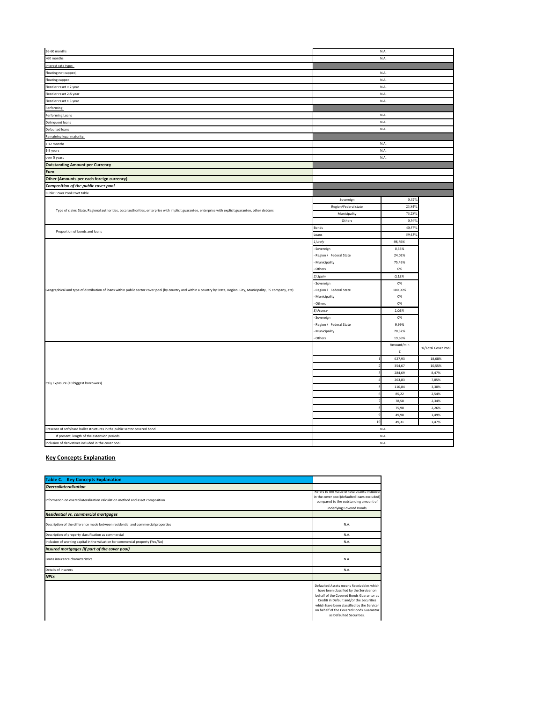| 36-60 months                                                                                                                                                           |                        | N.A.       |                    |
|------------------------------------------------------------------------------------------------------------------------------------------------------------------------|------------------------|------------|--------------------|
| >60 months                                                                                                                                                             |                        | N.A.       |                    |
| Interest rate type:                                                                                                                                                    |                        |            |                    |
| Floating not capped,                                                                                                                                                   |                        | N.A        |                    |
| <b>Floating capped</b>                                                                                                                                                 |                        | N.A.       |                    |
| Fixed or reset < 2 year                                                                                                                                                |                        | N.A.       |                    |
| Fixed or reset 2-5 year                                                                                                                                                |                        | N.A.       |                    |
| Fixed or reset > 5 year                                                                                                                                                |                        | N.A.       |                    |
| Performing:                                                                                                                                                            |                        |            |                    |
| Performing Loans                                                                                                                                                       |                        | N.A.       |                    |
| Delinquent loans                                                                                                                                                       |                        | N.A.       |                    |
| Defaulted loans                                                                                                                                                        |                        | N.A.       |                    |
| Remaining legal maturity:                                                                                                                                              |                        |            |                    |
| < 12 months                                                                                                                                                            |                        | N.A.       |                    |
| 1-5 years                                                                                                                                                              |                        | N.A.       |                    |
| over 5 years                                                                                                                                                           |                        | N.A.       |                    |
| <b>Outstanding Amount per Currency</b>                                                                                                                                 |                        |            |                    |
| Euro                                                                                                                                                                   |                        |            |                    |
| Other (Amounts per each foreign currency)                                                                                                                              |                        |            |                    |
| Composition of the public cover pool                                                                                                                                   |                        |            |                    |
| Public Cover Pool Pivot table                                                                                                                                          |                        |            |                    |
|                                                                                                                                                                        | Sovereign              | 0,52%      |                    |
|                                                                                                                                                                        | Region/Federal state   | 23,84%     |                    |
| Type of claim: State, Regional authorities, Local authorities, enterprise with implicit guarantee, enterprise with explicit guarantee, other debtors                   | Municipality           | 75,28%     |                    |
|                                                                                                                                                                        | Others                 | 0,36%      |                    |
|                                                                                                                                                                        | Bonds                  | 40,57%     |                    |
| Proportion of bonds and loans                                                                                                                                          | Loans                  | 59,43%     |                    |
|                                                                                                                                                                        | 1) Italy               | 98,79%     |                    |
|                                                                                                                                                                        | Sovereign              | 0,53%      |                    |
|                                                                                                                                                                        | Region / Federal State | 24,02%     |                    |
|                                                                                                                                                                        | Municipality           | 75,45%     |                    |
|                                                                                                                                                                        | Others                 | 0%         |                    |
|                                                                                                                                                                        | 2) Spain               | 0,15%      |                    |
|                                                                                                                                                                        | Sovereign              | 0%         |                    |
| Geographical and type of distribution of loans within public sector cover pool (by country and within a country by State, Region, City, Municipality, PS company, etc) | Region / Federal State | 100,00%    |                    |
|                                                                                                                                                                        | Municipality           | 0%         |                    |
|                                                                                                                                                                        | Others                 | 0%         |                    |
|                                                                                                                                                                        | 3) France              | 1,06%      |                    |
|                                                                                                                                                                        | Sovereign              | 0%         |                    |
|                                                                                                                                                                        | Region / Federal State | 9,99%      |                    |
|                                                                                                                                                                        | Municipality           | 70,32%     |                    |
|                                                                                                                                                                        | Others                 | 19,69%     |                    |
|                                                                                                                                                                        |                        | Amount/mln | %/Total Cover Pool |
|                                                                                                                                                                        |                        | $\epsilon$ |                    |
|                                                                                                                                                                        |                        | 627,93     | 18,68%             |
|                                                                                                                                                                        |                        | 354,67     | 10,55%             |
|                                                                                                                                                                        |                        | 284,69     | 8,47%              |
|                                                                                                                                                                        |                        | 263,83     | 7,85%              |
| Italy Exposure (10 biggest borrowers)                                                                                                                                  |                        | 110,84     | 3,30%              |
|                                                                                                                                                                        |                        | 85,22      | 2,54%              |
|                                                                                                                                                                        |                        | 78,58      | 2,34%              |
|                                                                                                                                                                        |                        | 75,98      | 2,26%              |
|                                                                                                                                                                        |                        | 49,98      | 1,49%              |
|                                                                                                                                                                        | $\overline{10}$        | 49,31      | 1,47%              |
| Presence of soft/hard bullet structures in the public sector covered bond                                                                                              |                        | N.A.       |                    |
| If present, length of the extension periods                                                                                                                            |                        | N.A.       |                    |
| Inclusion of derivatives included in the cover pool                                                                                                                    |                        | N.A.       |                    |

### **Key Concepts Explanation**

| <b>Table C.</b> Key Concepts Explanation                                         |                                                                                                                                                                                                                                                                                                   |
|----------------------------------------------------------------------------------|---------------------------------------------------------------------------------------------------------------------------------------------------------------------------------------------------------------------------------------------------------------------------------------------------|
| <i><b>Overcollateralization</b></i>                                              |                                                                                                                                                                                                                                                                                                   |
| Information on overcollateralization calculation method and asset composition    | Refers to the Value of total Assets included<br>in the cover pool (defaulted loans excluded)<br>compared to the outstanding amount of<br>underlying Covered Bonds.                                                                                                                                |
| <b>Residential vs. commercial mortgages</b>                                      |                                                                                                                                                                                                                                                                                                   |
| Description of the difference made between residential and commercial properties | N.A.                                                                                                                                                                                                                                                                                              |
| Description of property classification as commercial                             | N.A.                                                                                                                                                                                                                                                                                              |
| Inclusion of working capital in the valuation for commercial property (Yes/No)   | N.A.                                                                                                                                                                                                                                                                                              |
| Insured mortgages (if part of the cover pool)                                    |                                                                                                                                                                                                                                                                                                   |
| Loans insurance characteristics                                                  | N.A.                                                                                                                                                                                                                                                                                              |
| Details of insurers                                                              | N.A.                                                                                                                                                                                                                                                                                              |
| <b>NPLs</b>                                                                      |                                                                                                                                                                                                                                                                                                   |
|                                                                                  | Defaulted Assets means Receivables which<br>have been classified by the Servicer on<br>behalf of the Covered Bonds Guarantor as<br>Crediti in Default and/or the Securities<br>which have been classified by the Servicer<br>on hebalf of the Covered Bonds Guarantor<br>as Defaulted Securities. |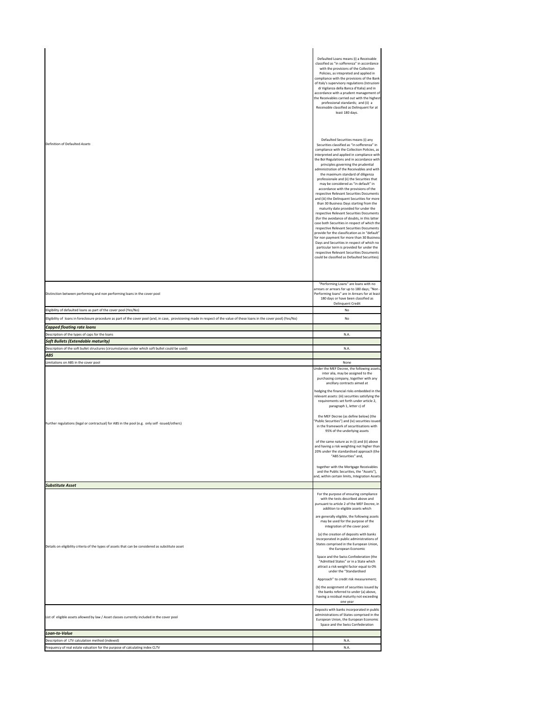|                                                                                                                                                                                                                 | Defaulted Loans means (i) a Receivable<br>classified as "in sofferenza" in accordance<br>with the provisions of the Collection<br>Policies, as intepreted and applied in<br>compliance with the provisions of the Bank<br>of Italy's supervisory regulations (Istruzioni<br>di Vigilanza della Banca d'Italia) and in<br>accordance with a prudent management of<br>the Receivables carried out with the highest<br>professional standards; and (ii) a<br>Receivable classified as Delinquent for at<br>least 180 days.                                                                                                                                                                                                                                                                                                                                                                                                                                                                                                                                                                                                                             |
|-----------------------------------------------------------------------------------------------------------------------------------------------------------------------------------------------------------------|-----------------------------------------------------------------------------------------------------------------------------------------------------------------------------------------------------------------------------------------------------------------------------------------------------------------------------------------------------------------------------------------------------------------------------------------------------------------------------------------------------------------------------------------------------------------------------------------------------------------------------------------------------------------------------------------------------------------------------------------------------------------------------------------------------------------------------------------------------------------------------------------------------------------------------------------------------------------------------------------------------------------------------------------------------------------------------------------------------------------------------------------------------|
| Definition of Defaulted Assets                                                                                                                                                                                  | Defaulted Securities means (i) any<br>Securities classified as "in sofferenza" in<br>compliance with the Collection Policies, as<br>interpreted and applied in compliance with<br>the Bol Regulations and in accordance with<br>principles governing the prudential<br>administration of the Receivables and with<br>the maximum standard of diligenza<br>professionale and (ii) the Securities that<br>may be considered as "in default" in<br>accordance with the provisions of the<br>respective Relevant Securities Documents<br>and (iii) the Delinquent Securities for more<br>than 30 Business Days starting from the<br>maturity date provided for under the<br>respective Relevant Securities Documents<br>(for the avoidance of doubts, in this latter<br>case both Securities in respect of which the<br>respective Relevant Securities Documents<br>provide for the classification as in "default"<br>for non payment for more than 30 Business<br>Days and Securities in respect of which no<br>particular term is provided for under the<br>respective Relevant Securities Documents<br>could be classified as Defaulted Securities). |
| Distinction between performing and non performing loans in the cover pool                                                                                                                                       | "Performing Loans" are loans with no<br>arrears or arrears for up to 180 days; "Non -<br>Performing loans" are in Arrears for at least<br>180 days or have been classified as<br><b>Delinquent Credit</b>                                                                                                                                                                                                                                                                                                                                                                                                                                                                                                                                                                                                                                                                                                                                                                                                                                                                                                                                           |
| Eligibility of defaulted loans as part of the cover pool (Yes/No)                                                                                                                                               | No<br>No                                                                                                                                                                                                                                                                                                                                                                                                                                                                                                                                                                                                                                                                                                                                                                                                                                                                                                                                                                                                                                                                                                                                            |
| ligibility of loans in foreclosure procedure as part of the cover pool (and, in case, provisioning made in respect of the value of these loans in the cover pool) (Yes/No)<br><b>Capped floating rate loans</b> |                                                                                                                                                                                                                                                                                                                                                                                                                                                                                                                                                                                                                                                                                                                                                                                                                                                                                                                                                                                                                                                                                                                                                     |
| Description of the types of caps for the loans                                                                                                                                                                  | N.A.                                                                                                                                                                                                                                                                                                                                                                                                                                                                                                                                                                                                                                                                                                                                                                                                                                                                                                                                                                                                                                                                                                                                                |
| Soft Bullets (Extendable maturity)<br>Description of the soft bullet structures (circumstances under which soft bullet could be used)                                                                           | N.A.                                                                                                                                                                                                                                                                                                                                                                                                                                                                                                                                                                                                                                                                                                                                                                                                                                                                                                                                                                                                                                                                                                                                                |
|                                                                                                                                                                                                                 |                                                                                                                                                                                                                                                                                                                                                                                                                                                                                                                                                                                                                                                                                                                                                                                                                                                                                                                                                                                                                                                                                                                                                     |
| <b>ABS</b>                                                                                                                                                                                                      |                                                                                                                                                                                                                                                                                                                                                                                                                                                                                                                                                                                                                                                                                                                                                                                                                                                                                                                                                                                                                                                                                                                                                     |
| imitations on ABS in the cover pool                                                                                                                                                                             | None                                                                                                                                                                                                                                                                                                                                                                                                                                                                                                                                                                                                                                                                                                                                                                                                                                                                                                                                                                                                                                                                                                                                                |
| Further regulations (legal or contractual) for ABS in the pool (e.g. only self -issued/others)                                                                                                                  | Under the MEF Decree, the following assets,<br>inter alia, may be assigned to the<br>purchasing company, together with any<br>ancillary contracts aimed at<br>hedging the financial risks embedded in the<br>relevant assets: (iii) securities satisfying the<br>requirements set forth under article 2,<br>paragraph 1, letter c) of<br>the MEF Decree (as define below) (the<br>'Public Securities") and (iv) securities issued<br>in the framework of securitisations with<br>95% of the underlying assets<br>of the same nature as in (i) and (ii) above<br>and having a risk weighting not higher than<br>20% under the standardised approach (the<br>"ABS Securities" and,                                                                                                                                                                                                                                                                                                                                                                                                                                                                    |
|                                                                                                                                                                                                                 | together with the Mortgage Receivables<br>and the Public Securities, the "Assets"),                                                                                                                                                                                                                                                                                                                                                                                                                                                                                                                                                                                                                                                                                                                                                                                                                                                                                                                                                                                                                                                                 |
|                                                                                                                                                                                                                 | and, within certain limits, Integration Assets                                                                                                                                                                                                                                                                                                                                                                                                                                                                                                                                                                                                                                                                                                                                                                                                                                                                                                                                                                                                                                                                                                      |
| <b>Substitute Asset</b><br>Details on eligibility criteria of the types of assets that can be considered as substitute asset                                                                                    | For the purpose of ensuring compliance<br>with the tests described above and<br>pursuant to article 2 of the MEF Decree, in<br>addition to eligible assets which<br>are generally eligible, the following assets<br>may be used for the purpose of the<br>integration of the cover pool:<br>(a) the creation of deposits with banks<br>incorporated in public administrations of<br>States comprised in the European Union,<br>the European Economic<br>Space and the Swiss Confederation (the<br>"Admitted States" or in a State which<br>attract a risk weight factor equal to 0%<br>under the "Standardised<br>Approach" to credit risk measurement;<br>(b) the assignment of securities issued by<br>the banks referred to under (a) above.<br>having a residual maturity not exceeding<br>one year                                                                                                                                                                                                                                                                                                                                             |
| List of eligible assets allowed by law / Asset classes currently included in the cover pool                                                                                                                     | Deposits with banks incorporated in public<br>administrations of States comprised in the<br>European Union, the European Economic<br>Space and the Swiss Confederation                                                                                                                                                                                                                                                                                                                                                                                                                                                                                                                                                                                                                                                                                                                                                                                                                                                                                                                                                                              |
| Loan-to-Value                                                                                                                                                                                                   |                                                                                                                                                                                                                                                                                                                                                                                                                                                                                                                                                                                                                                                                                                                                                                                                                                                                                                                                                                                                                                                                                                                                                     |
| Description of LTV calculation method (indexed)<br>requency of real estate valuation for the purpose of calculating index CLTV                                                                                  | N.A.<br>N.A.                                                                                                                                                                                                                                                                                                                                                                                                                                                                                                                                                                                                                                                                                                                                                                                                                                                                                                                                                                                                                                                                                                                                        |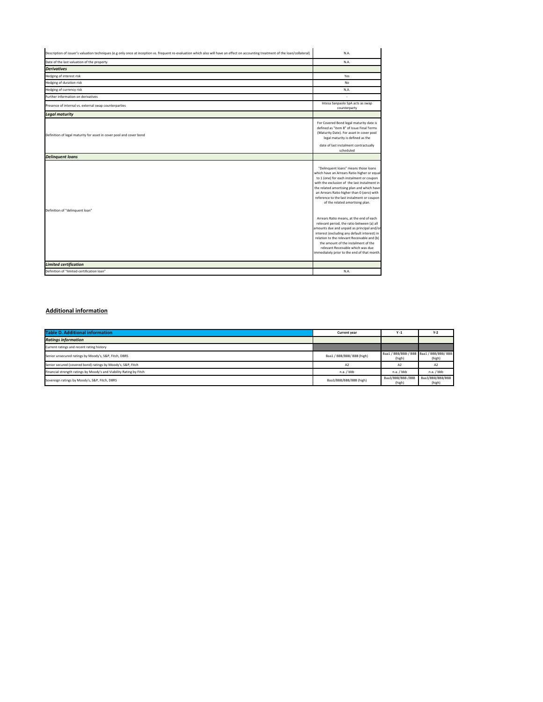| Description of issuer's valuation techniques (e.g only once at inception vs. frequent re-evaluation which also will have an effect on accounting treatment of the loan/collateral) | N.A.                                                                                                                                                                                                                                                                                                                                                                                                    |
|------------------------------------------------------------------------------------------------------------------------------------------------------------------------------------|---------------------------------------------------------------------------------------------------------------------------------------------------------------------------------------------------------------------------------------------------------------------------------------------------------------------------------------------------------------------------------------------------------|
| Date of the last valuation of the property                                                                                                                                         | N.A.                                                                                                                                                                                                                                                                                                                                                                                                    |
| <b>Derivatives</b>                                                                                                                                                                 |                                                                                                                                                                                                                                                                                                                                                                                                         |
| Hedging of interest risk                                                                                                                                                           | Yes                                                                                                                                                                                                                                                                                                                                                                                                     |
| Hedging of duration risk                                                                                                                                                           | No                                                                                                                                                                                                                                                                                                                                                                                                      |
| Hedging of currency risk                                                                                                                                                           | N.A.                                                                                                                                                                                                                                                                                                                                                                                                    |
| Further information on derivatives                                                                                                                                                 |                                                                                                                                                                                                                                                                                                                                                                                                         |
| Presence of internal vs. external swap counterparties                                                                                                                              | Intesa Sanpaolo SpA acts as swap<br>counterparty                                                                                                                                                                                                                                                                                                                                                        |
| <b>Legal maturity</b>                                                                                                                                                              |                                                                                                                                                                                                                                                                                                                                                                                                         |
| Definition of legal maturity for asset in cover pool and cover bond                                                                                                                | For Covered Bond legal maturity date is<br>defined as "item 8" of Issue Final Terms<br>(Maturity Date). For asset in cover pool<br>legal maturity is defined as the<br>date of last instalment contractually<br>scheduled                                                                                                                                                                               |
| <b>Delinquent loans</b>                                                                                                                                                            |                                                                                                                                                                                                                                                                                                                                                                                                         |
| Definition of "delinquent loan"                                                                                                                                                    | "Delinquent loans" means those loans<br>which have an Arrears Ratio higher or equal<br>to 1 (one) for each instalment or coupon<br>with the exclusion of the last instalment in<br>the related amortising plan and which have<br>an Arrears Ratio higher than 0 (zero) with<br>reference to the last instalment or coupon<br>of the related amortising plan.<br>Arrears Ratio means, at the end of each |
|                                                                                                                                                                                    | relevant period, the ratio between (a) all<br>amounts due and unpaid as principal and/or<br>interest (excluding any default interest) in<br>relation to the relevant Receivable and (b)<br>the amount of the instalment of the<br>relevant Receivable which was due<br>immediately prior to the end of that month.                                                                                      |
| <b>Limited certification</b>                                                                                                                                                       |                                                                                                                                                                                                                                                                                                                                                                                                         |
| Definition of "limited-certification loan"                                                                                                                                         | N.A.                                                                                                                                                                                                                                                                                                                                                                                                    |

### **Additional information**

| <b>Table D. Additional information</b>                              | <b>Current year</b>        | $Y - 1$                                            | $Y-2$                      |
|---------------------------------------------------------------------|----------------------------|----------------------------------------------------|----------------------------|
| <b>Ratings information</b>                                          |                            |                                                    |                            |
| Current ratings and recent rating history                           |                            |                                                    |                            |
| Senior unsecured ratings by Moody's, S&P, Fitch, DBRS               | Baa1 / BBB/BBB/ BBB (high) | Baa1 / BBB/BBB-/ BBB Baa1 / BBB/BBB/ BBB<br>(high) | (high)                     |
| Senior secured (covered bond) ratings by Moody's, S&P, Fitch        | A <sub>2</sub>             | A <sub>2</sub>                                     | A <sub>2</sub>             |
| Financial strength ratings by Moody's and Viability Rating by Fitch | $n.a.$ / bbb               | $n.a.$ / bbb                                       | n.a. / bbb                 |
| Sovereign ratings by Moody's, S&P, Fitch, DBRS                      | Baa3/BBB/BBB/BBB (high)    | Baa3/BBB/BBB-/BBB<br>(high)                        | Baa3/BBB/BBB/BBB<br>(high) |